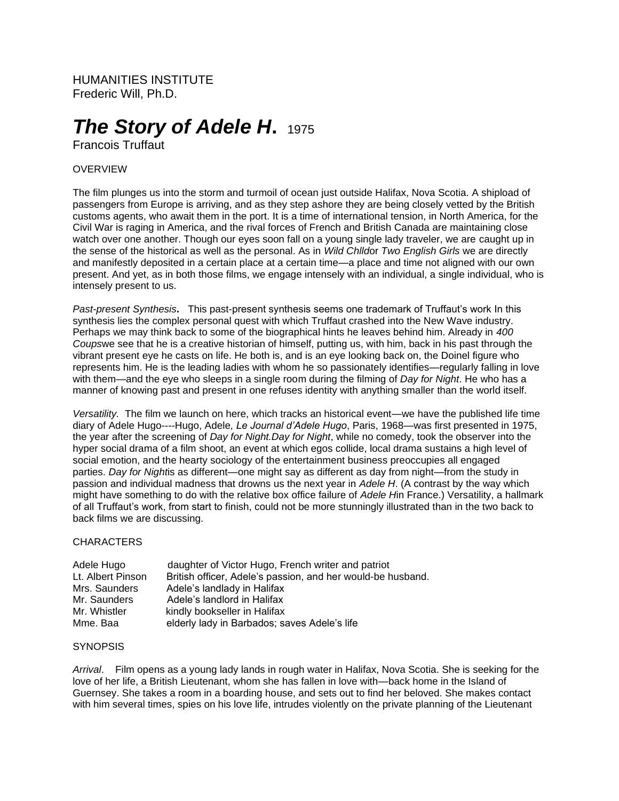HUMANITIES INSTITUTE Frederic Will, Ph.D.

# *The Story of Adele H***.**<sup>1975</sup>

Francois Truffaut

## OVERVIEW

The film plunges us into the storm and turmoil of ocean just outside Halifax, Nova Scotia. A shipload of passengers from Europe is arriving, and as they step ashore they are being closely vetted by the British customs agents, who await them in the port. It is a time of international tension, in North America, for the Civil War is raging in America, and the rival forces of French and British Canada are maintaining close watch over one another. Though our eyes soon fall on a young single lady traveler, we are caught up in the sense of the historical as well as the personal. As in *Wild Chlld*or *Two English Girls* we are directly and manifestly deposited in a certain place at a certain time—a place and time not aligned with our own present. And yet, as in both those films, we engage intensely with an individual, a single individual, who is intensely present to us.

*Past-present Synthesis***.** This past-present synthesis seems one trademark of Truffaut's work In this synthesis lies the complex personal quest with which Truffaut crashed into the New Wave industry. Perhaps we may think back to some of the biographical hints he leaves behind him. Already in *400 Coups*we see that he is a creative historian of himself, putting us, with him, back in his past through the vibrant present eye he casts on life. He both is, and is an eye looking back on, the Doinel figure who represents him. He is the leading ladies with whom he so passionately identifies—regularly falling in love with them—and the eye who sleeps in a single room during the filming of *Day for Night*. He who has a manner of knowing past and present in one refuses identity with anything smaller than the world itself.

*Versatility.* The film we launch on here, which tracks an historical event—we have the published life time diary of Adele Hugo----Hugo, Adele*, Le Journal d'Adele Hugo*, Paris, 1968—was first presented in 1975, the year after the screening of *Day for Night.Day for Night*, while no comedy, took the observer into the hyper social drama of a film shoot, an event at which egos collide, local drama sustains a high level of social emotion, and the hearty sociology of the entertainment business preoccupies all engaged parties. *Day for Night*is as different—one might say as different as day from night—from the study in passion and individual madness that drowns us the next year in *Adele H*. (A contrast by the way which might have something to do with the relative box office failure of *Adele H*in France.) Versatility, a hallmark of all Truffaut's work, from start to finish, could not be more stunningly illustrated than in the two back to back films we are discussing.

### **CHARACTERS**

| Adele Hugo        | daughter of Victor Hugo, French writer and patriot          |
|-------------------|-------------------------------------------------------------|
| Lt. Albert Pinson | British officer, Adele's passion, and her would-be husband. |
| Mrs. Saunders     | Adele's landlady in Halifax                                 |
| Mr. Saunders      | Adele's landlord in Halifax                                 |
| Mr. Whistler      | kindly bookseller in Halifax                                |
| Mme. Baa          | elderly lady in Barbados; saves Adele's life                |

### **SYNOPSIS**

*Arrival*. Film opens as a young lady lands in rough water in Halifax, Nova Scotia. She is seeking for the love of her life, a British Lieutenant, whom she has fallen in love with—back home in the Island of Guernsey. She takes a room in a boarding house, and sets out to find her beloved. She makes contact with him several times, spies on his love life, intrudes violently on the private planning of the Lieutenant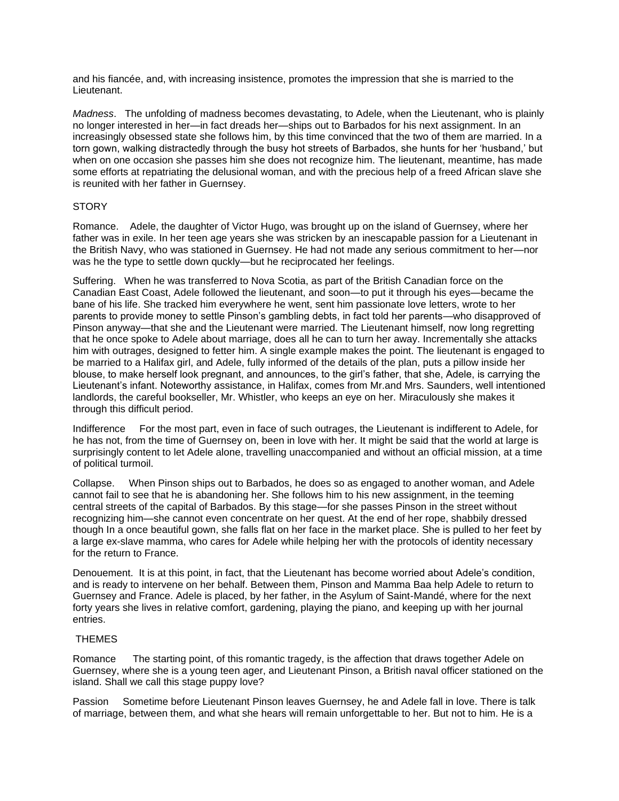and his fiancée, and, with increasing insistence, promotes the impression that she is married to the Lieutenant.

*Madness*. The unfolding of madness becomes devastating, to Adele, when the Lieutenant, who is plainly no longer interested in her—in fact dreads her—ships out to Barbados for his next assignment. In an increasingly obsessed state she follows him, by this time convinced that the two of them are married. In a torn gown, walking distractedly through the busy hot streets of Barbados, she hunts for her 'husband,' but when on one occasion she passes him she does not recognize him. The lieutenant, meantime, has made some efforts at repatriating the delusional woman, and with the precious help of a freed African slave she is reunited with her father in Guernsey.

## **STORY**

Romance. Adele, the daughter of Victor Hugo, was brought up on the island of Guernsey, where her father was in exile. In her teen age years she was stricken by an inescapable passion for a Lieutenant in the British Navy, who was stationed in Guernsey. He had not made any serious commitment to her—nor was he the type to settle down quckly—but he reciprocated her feelings.

Suffering. When he was transferred to Nova Scotia, as part of the British Canadian force on the Canadian East Coast, Adele followed the lieutenant, and soon—to put it through his eyes—became the bane of his life. She tracked him everywhere he went, sent him passionate love letters, wrote to her parents to provide money to settle Pinson's gambling debts, in fact told her parents—who disapproved of Pinson anyway—that she and the Lieutenant were married. The Lieutenant himself, now long regretting that he once spoke to Adele about marriage, does all he can to turn her away. Incrementally she attacks him with outrages, designed to fetter him. A single example makes the point. The lieutenant is engaged to be married to a Halifax girl, and Adele, fully informed of the details of the plan, puts a pillow inside her blouse, to make herself look pregnant, and announces, to the girl's father, that she, Adele, is carrying the Lieutenant's infant. Noteworthy assistance, in Halifax, comes from Mr.and Mrs. Saunders, well intentioned landlords, the careful bookseller, Mr. Whistler, who keeps an eye on her. Miraculously she makes it through this difficult period.

Indifference For the most part, even in face of such outrages, the Lieutenant is indifferent to Adele, for he has not, from the time of Guernsey on, been in love with her. It might be said that the world at large is surprisingly content to let Adele alone, travelling unaccompanied and without an official mission, at a time of political turmoil.

Collapse. When Pinson ships out to Barbados, he does so as engaged to another woman, and Adele cannot fail to see that he is abandoning her. She follows him to his new assignment, in the teeming central streets of the capital of Barbados. By this stage—for she passes Pinson in the street without recognizing him—she cannot even concentrate on her quest. At the end of her rope, shabbily dressed though In a once beautiful gown, she falls flat on her face in the market place. She is pulled to her feet by a large ex-slave mamma, who cares for Adele while helping her with the protocols of identity necessary for the return to France.

Denouement. It is at this point, in fact, that the Lieutenant has become worried about Adele's condition, and is ready to intervene on her behalf. Between them, Pinson and Mamma Baa help Adele to return to Guernsey and France. Adele is placed, by her father, in the Asylum of Saint-Mandé, where for the next forty years she lives in relative comfort, gardening, playing the piano, and keeping up with her journal entries.

## **THEMES**

Romance The starting point, of this romantic tragedy, is the affection that draws together Adele on Guernsey, where she is a young teen ager, and Lieutenant Pinson, a British naval officer stationed on the island. Shall we call this stage puppy love?

Passion Sometime before Lieutenant Pinson leaves Guernsey, he and Adele fall in love. There is talk of marriage, between them, and what she hears will remain unforgettable to her. But not to him. He is a